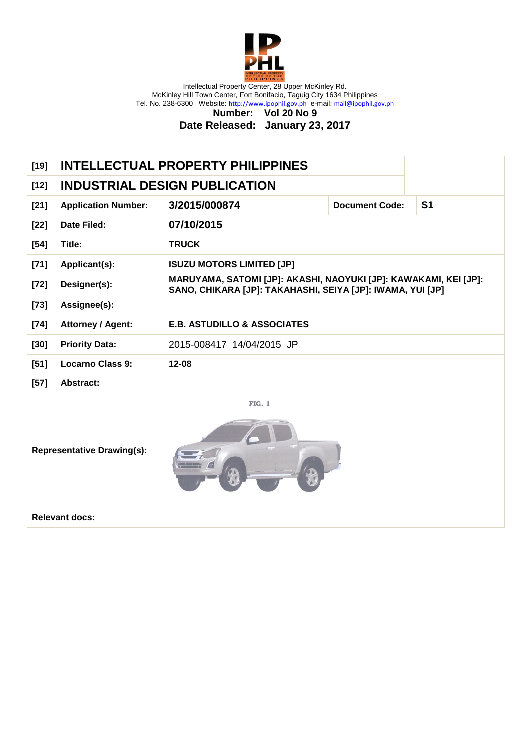

**Number: Vol 20 No 9**

| $[19]$                            | <b>INTELLECTUAL PROPERTY PHILIPPINES</b> |                                                                                                                                |                       |                |
|-----------------------------------|------------------------------------------|--------------------------------------------------------------------------------------------------------------------------------|-----------------------|----------------|
| $[12]$                            |                                          | <b>INDUSTRIAL DESIGN PUBLICATION</b>                                                                                           |                       |                |
| $[21]$                            | <b>Application Number:</b>               | 3/2015/000874                                                                                                                  | <b>Document Code:</b> | S <sub>1</sub> |
| $[22]$                            | <b>Date Filed:</b>                       | 07/10/2015                                                                                                                     |                       |                |
| $[54]$                            | Title:                                   | <b>TRUCK</b>                                                                                                                   |                       |                |
| $[71]$                            | Applicant(s):                            | <b>ISUZU MOTORS LIMITED [JP]</b>                                                                                               |                       |                |
| $[72]$                            | Designer(s):                             | MARUYAMA, SATOMI [JP]: AKASHI, NAOYUKI [JP]: KAWAKAMI, KEI [JP]:<br>SANO, CHIKARA [JP]: TAKAHASHI, SEIYA [JP]: IWAMA, YUI [JP] |                       |                |
| $[73]$                            | Assignee(s):                             |                                                                                                                                |                       |                |
| $[74]$                            | Attorney / Agent:                        | <b>E.B. ASTUDILLO &amp; ASSOCIATES</b>                                                                                         |                       |                |
| $[30]$                            | <b>Priority Data:</b>                    | 2015-008417 14/04/2015 JP                                                                                                      |                       |                |
| $[51]$                            | <b>Locarno Class 9:</b>                  | $12 - 08$                                                                                                                      |                       |                |
| $[57]$                            | <b>Abstract:</b>                         |                                                                                                                                |                       |                |
| <b>Representative Drawing(s):</b> |                                          | <b>FIG. 1</b>                                                                                                                  |                       |                |
|                                   | <b>Relevant docs:</b>                    |                                                                                                                                |                       |                |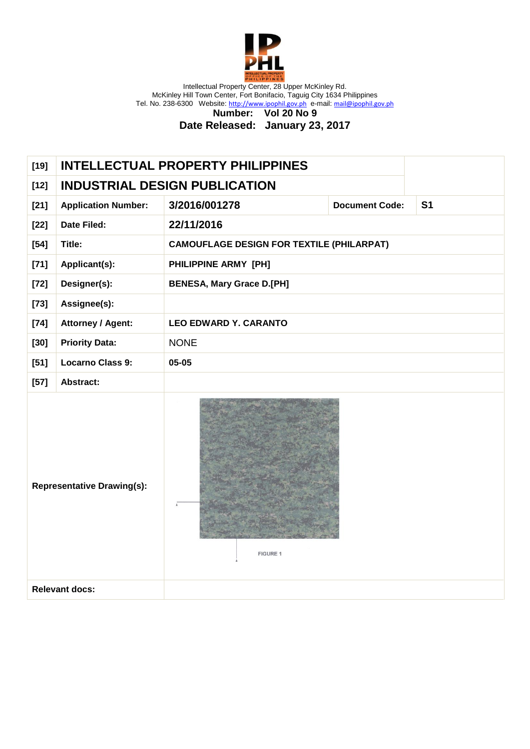

**Number: Vol 20 No 9**

| $[19]$                                        |                            | <b>INTELLECTUAL PROPERTY PHILIPPINES</b>         |                       |                |  |
|-----------------------------------------------|----------------------------|--------------------------------------------------|-----------------------|----------------|--|
| $[12]$                                        |                            | <b>INDUSTRIAL DESIGN PUBLICATION</b>             |                       |                |  |
| $[21]$                                        | <b>Application Number:</b> | 3/2016/001278                                    | <b>Document Code:</b> | S <sub>1</sub> |  |
| $[22]$                                        | Date Filed:                | 22/11/2016                                       |                       |                |  |
| $[54]$                                        | Title:                     | <b>CAMOUFLAGE DESIGN FOR TEXTILE (PHILARPAT)</b> |                       |                |  |
| $[71]$                                        | Applicant(s):              | PHILIPPINE ARMY [PH]                             |                       |                |  |
| $[72]$                                        | Designer(s):               | <b>BENESA, Mary Grace D.[PH]</b>                 |                       |                |  |
| $[73]$                                        | Assignee(s):               |                                                  |                       |                |  |
| $[74]$                                        | <b>Attorney / Agent:</b>   | <b>LEO EDWARD Y. CARANTO</b>                     |                       |                |  |
| $[30]$                                        | <b>Priority Data:</b>      | <b>NONE</b>                                      |                       |                |  |
| $[51]$                                        | <b>Locarno Class 9:</b>    | 05-05                                            |                       |                |  |
| $[57]$                                        | Abstract:                  |                                                  |                       |                |  |
| <b>Representative Drawing(s):</b><br>FIGURE 1 |                            |                                                  |                       |                |  |
|                                               | <b>Relevant docs:</b>      |                                                  |                       |                |  |
|                                               |                            |                                                  |                       |                |  |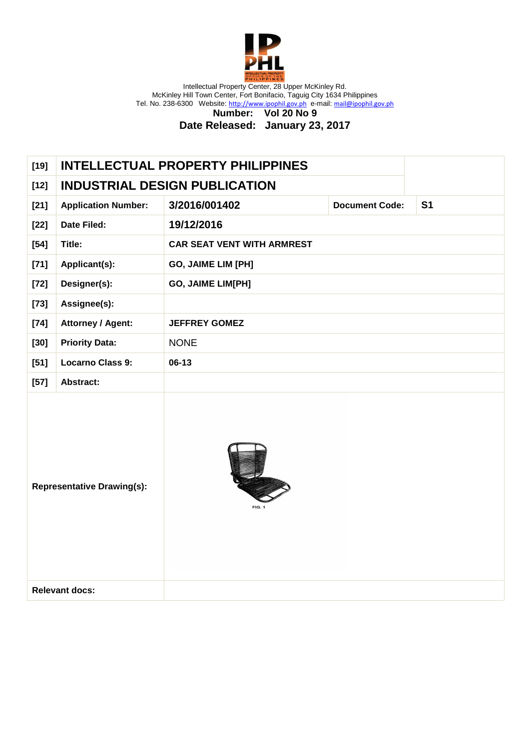

**Number: Vol 20 No 9**

| <b>INDUSTRIAL DESIGN PUBLICATION</b><br>$[12]$<br>3/2016/001402<br><b>Application Number:</b><br><b>Document Code:</b><br>S <sub>1</sub><br>$[21]$<br>Date Filed:<br>19/12/2016<br>$[22]$<br>Title:<br><b>CAR SEAT VENT WITH ARMREST</b><br>$[54]$<br>$[71]$<br>Applicant(s):<br>GO, JAIME LIM [PH]<br>Designer(s):<br>GO, JAIME LIM[PH]<br>$[72]$<br>Assignee(s):<br>$[73]$<br><b>Attorney / Agent:</b><br>$[74]$<br><b>JEFFREY GOMEZ</b><br><b>Priority Data:</b><br>$[30]$<br><b>NONE</b><br><b>Locarno Class 9:</b><br>$06-13$<br>$[51]$<br>$[57]$<br>Abstract:<br><b>Representative Drawing(s):</b><br><b>Relevant docs:</b> | $[19]$ |  | <b>INTELLECTUAL PROPERTY PHILIPPINES</b> |  |
|-----------------------------------------------------------------------------------------------------------------------------------------------------------------------------------------------------------------------------------------------------------------------------------------------------------------------------------------------------------------------------------------------------------------------------------------------------------------------------------------------------------------------------------------------------------------------------------------------------------------------------------|--------|--|------------------------------------------|--|
|                                                                                                                                                                                                                                                                                                                                                                                                                                                                                                                                                                                                                                   |        |  |                                          |  |
|                                                                                                                                                                                                                                                                                                                                                                                                                                                                                                                                                                                                                                   |        |  |                                          |  |
|                                                                                                                                                                                                                                                                                                                                                                                                                                                                                                                                                                                                                                   |        |  |                                          |  |
|                                                                                                                                                                                                                                                                                                                                                                                                                                                                                                                                                                                                                                   |        |  |                                          |  |
|                                                                                                                                                                                                                                                                                                                                                                                                                                                                                                                                                                                                                                   |        |  |                                          |  |
|                                                                                                                                                                                                                                                                                                                                                                                                                                                                                                                                                                                                                                   |        |  |                                          |  |
|                                                                                                                                                                                                                                                                                                                                                                                                                                                                                                                                                                                                                                   |        |  |                                          |  |
|                                                                                                                                                                                                                                                                                                                                                                                                                                                                                                                                                                                                                                   |        |  |                                          |  |
|                                                                                                                                                                                                                                                                                                                                                                                                                                                                                                                                                                                                                                   |        |  |                                          |  |
|                                                                                                                                                                                                                                                                                                                                                                                                                                                                                                                                                                                                                                   |        |  |                                          |  |
|                                                                                                                                                                                                                                                                                                                                                                                                                                                                                                                                                                                                                                   |        |  |                                          |  |
|                                                                                                                                                                                                                                                                                                                                                                                                                                                                                                                                                                                                                                   |        |  |                                          |  |
|                                                                                                                                                                                                                                                                                                                                                                                                                                                                                                                                                                                                                                   |        |  |                                          |  |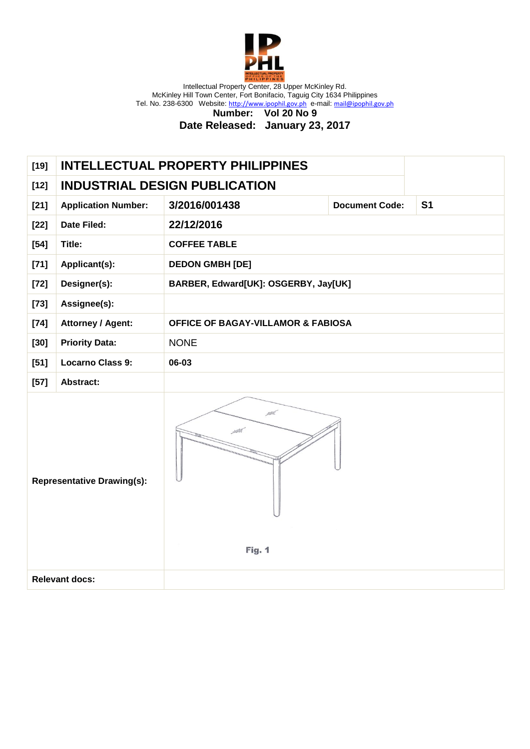

> **Number: Vol 20 No 9 Date Released: January 23, 2017**

| $[19]$                                              | <b>INTELLECTUAL PROPERTY PHILIPPINES</b> |                                      |                                               |                |  |
|-----------------------------------------------------|------------------------------------------|--------------------------------------|-----------------------------------------------|----------------|--|
| $[12]$                                              |                                          | <b>INDUSTRIAL DESIGN PUBLICATION</b> |                                               |                |  |
| $[21]$                                              | <b>Application Number:</b>               | 3/2016/001438                        | <b>Document Code:</b>                         | S <sub>1</sub> |  |
| $[22]$                                              | <b>Date Filed:</b>                       | 22/12/2016                           |                                               |                |  |
| $[54]$                                              | Title:                                   | <b>COFFEE TABLE</b>                  |                                               |                |  |
| $[71]$                                              | Applicant(s):                            | <b>DEDON GMBH [DE]</b>               |                                               |                |  |
| $[72]$                                              | Designer(s):                             | BARBER, Edward[UK]: OSGERBY, Jay[UK] |                                               |                |  |
| $[73]$                                              | Assignee(s):                             |                                      |                                               |                |  |
| $[74]$                                              | <b>Attorney / Agent:</b>                 |                                      | <b>OFFICE OF BAGAY-VILLAMOR &amp; FABIOSA</b> |                |  |
| $[30]$                                              | <b>Priority Data:</b>                    | <b>NONE</b>                          |                                               |                |  |
| $[51]$                                              | <b>Locarno Class 9:</b>                  | 06-03                                |                                               |                |  |
| $[57]$                                              | Abstract:                                |                                      |                                               |                |  |
| rth.<br><b>Representative Drawing(s):</b><br>Fig. 1 |                                          |                                      |                                               |                |  |
|                                                     | <b>Relevant docs:</b>                    |                                      |                                               |                |  |
|                                                     |                                          |                                      |                                               |                |  |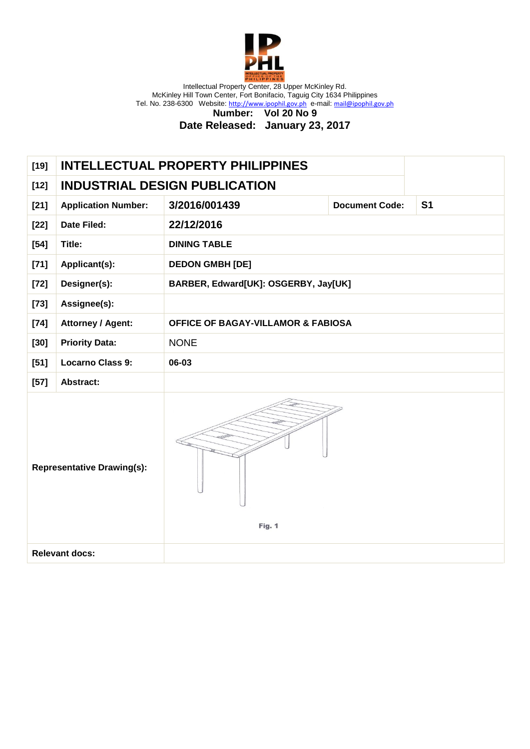

**Number: Vol 20 No 9**

| $[19]$                            |                            | <b>INTELLECTUAL PROPERTY PHILIPPINES</b>      |                       |                |
|-----------------------------------|----------------------------|-----------------------------------------------|-----------------------|----------------|
| $[12]$                            |                            | <b>INDUSTRIAL DESIGN PUBLICATION</b>          |                       |                |
| $[21]$                            | <b>Application Number:</b> | 3/2016/001439                                 | <b>Document Code:</b> | S <sub>1</sub> |
| $[22]$                            | <b>Date Filed:</b>         | 22/12/2016                                    |                       |                |
| $[54]$                            | Title:                     | <b>DINING TABLE</b>                           |                       |                |
| $[71]$                            | Applicant(s):              | <b>DEDON GMBH [DE]</b>                        |                       |                |
| $[72]$                            | Designer(s):               | BARBER, Edward[UK]: OSGERBY, Jay[UK]          |                       |                |
| $[73]$                            | Assignee(s):               |                                               |                       |                |
| $[74]$                            | <b>Attorney / Agent:</b>   | <b>OFFICE OF BAGAY-VILLAMOR &amp; FABIOSA</b> |                       |                |
| $[30]$                            | <b>Priority Data:</b>      | <b>NONE</b>                                   |                       |                |
| $[51]$                            | <b>Locarno Class 9:</b>    | 06-03                                         |                       |                |
| $[57]$                            | Abstract:                  |                                               |                       |                |
| <b>Representative Drawing(s):</b> |                            | Fig. 1                                        |                       |                |
|                                   | <b>Relevant docs:</b>      |                                               |                       |                |
|                                   |                            |                                               |                       |                |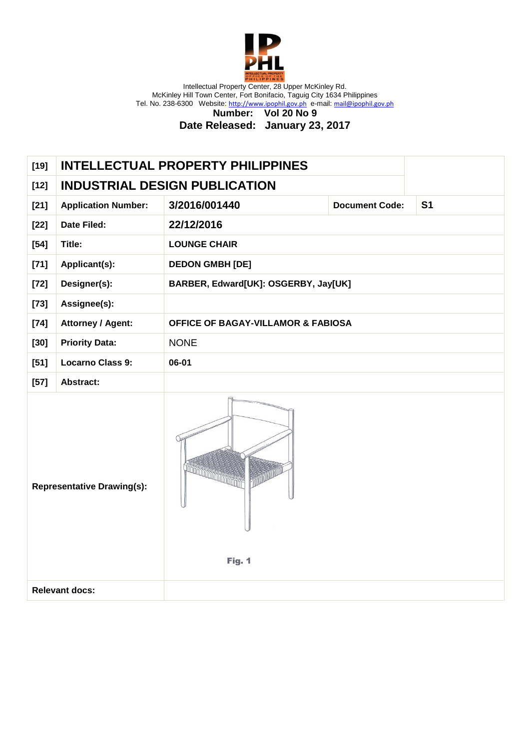

**Number: Vol 20 No 9**

| $[19]$ | <b>INTELLECTUAL PROPERTY PHILIPPINES</b>                                  |                                               |                       |                |
|--------|---------------------------------------------------------------------------|-----------------------------------------------|-----------------------|----------------|
| $[12]$ |                                                                           | <b>INDUSTRIAL DESIGN PUBLICATION</b>          |                       |                |
| $[21]$ | <b>Application Number:</b>                                                | 3/2016/001440                                 | <b>Document Code:</b> | S <sub>1</sub> |
| $[22]$ | <b>Date Filed:</b>                                                        | 22/12/2016                                    |                       |                |
| $[54]$ | Title:                                                                    | <b>LOUNGE CHAIR</b>                           |                       |                |
| $[71]$ | Applicant(s):                                                             | <b>DEDON GMBH [DE]</b>                        |                       |                |
| $[72]$ | Designer(s):                                                              | BARBER, Edward[UK]: OSGERBY, Jay[UK]          |                       |                |
| $[73]$ | Assignee(s):                                                              |                                               |                       |                |
| $[74]$ | <b>Attorney / Agent:</b>                                                  | <b>OFFICE OF BAGAY-VILLAMOR &amp; FABIOSA</b> |                       |                |
| $[30]$ | <b>Priority Data:</b>                                                     | <b>NONE</b>                                   |                       |                |
| $[51]$ | <b>Locarno Class 9:</b>                                                   | 06-01                                         |                       |                |
| $[57]$ | <b>Abstract:</b>                                                          |                                               |                       |                |
|        | <b>RECORDS AND RECORDS</b><br><b>Representative Drawing(s):</b><br>Fig. 1 |                                               |                       |                |
|        | <b>Relevant docs:</b>                                                     |                                               |                       |                |
|        |                                                                           |                                               |                       |                |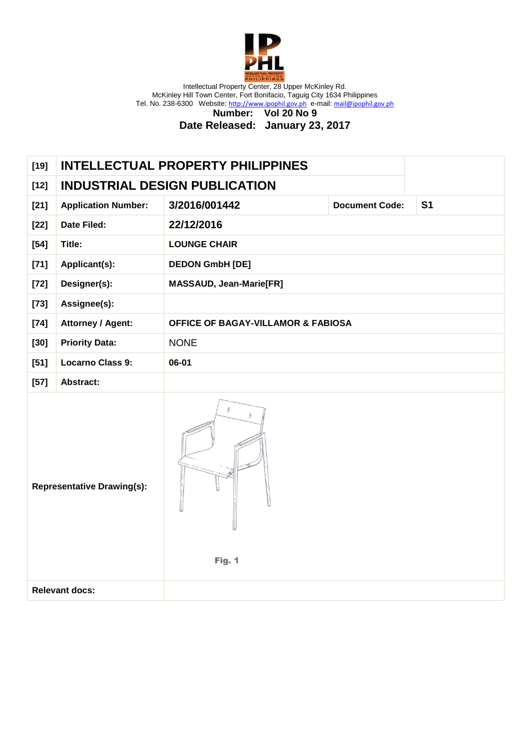

**Number: Vol 20 No 9**

| $[19]$                                            |                            | <b>INTELLECTUAL PROPERTY PHILIPPINES</b>      |                       |                |
|---------------------------------------------------|----------------------------|-----------------------------------------------|-----------------------|----------------|
| $[12]$                                            |                            | <b>INDUSTRIAL DESIGN PUBLICATION</b>          |                       |                |
| $[21]$                                            | <b>Application Number:</b> | 3/2016/001442                                 | <b>Document Code:</b> | S <sub>1</sub> |
| $[22]$                                            | Date Filed:                | 22/12/2016                                    |                       |                |
| $[54]$                                            | Title:                     | <b>LOUNGE CHAIR</b>                           |                       |                |
| $[71]$                                            | Applicant(s):              | <b>DEDON GmbH [DE]</b>                        |                       |                |
| $[72]$                                            | Designer(s):               | <b>MASSAUD, Jean-Marie[FR]</b>                |                       |                |
| $[73]$                                            | Assignee(s):               |                                               |                       |                |
| $[74]$                                            | <b>Attorney / Agent:</b>   | <b>OFFICE OF BAGAY-VILLAMOR &amp; FABIOSA</b> |                       |                |
| $[30]$                                            | <b>Priority Data:</b>      | <b>NONE</b>                                   |                       |                |
| $[51]$                                            | <b>Locarno Class 9:</b>    | 06-01                                         |                       |                |
| $[57]$                                            | Abstract:                  |                                               |                       |                |
| ∦.<br><b>Representative Drawing(s):</b><br>Fig. 1 |                            |                                               |                       |                |
|                                                   | <b>Relevant docs:</b>      |                                               |                       |                |
|                                                   |                            |                                               |                       |                |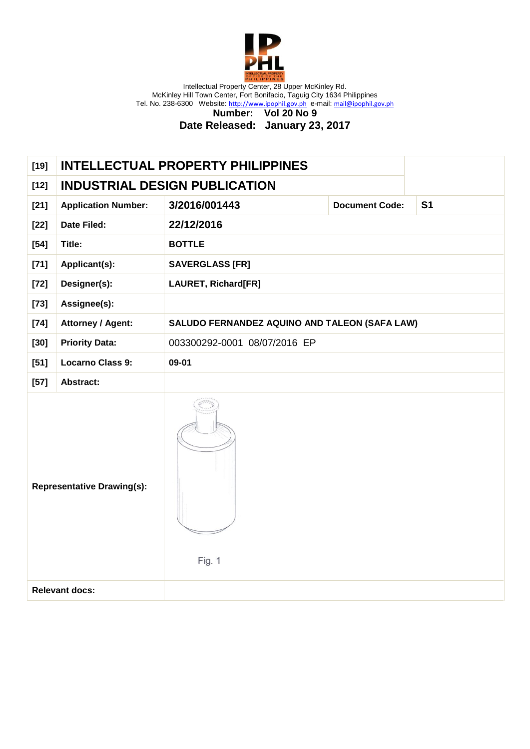

**Number: Vol 20 No 9 Date Released: January 23, 2017**

| $[19]$                            |                            | <b>INTELLECTUAL PROPERTY PHILIPPINES</b>      |                       |           |
|-----------------------------------|----------------------------|-----------------------------------------------|-----------------------|-----------|
| $[12]$                            |                            | <b>INDUSTRIAL DESIGN PUBLICATION</b>          |                       |           |
| $[21]$                            | <b>Application Number:</b> | 3/2016/001443                                 | <b>Document Code:</b> | <b>S1</b> |
| $[22]$                            | Date Filed:                | 22/12/2016                                    |                       |           |
| $[54]$                            | Title:                     | <b>BOTTLE</b>                                 |                       |           |
| $[71]$                            | Applicant(s):              | <b>SAVERGLASS [FR]</b>                        |                       |           |
| $[72]$                            | Designer(s):               | LAURET, Richard[FR]                           |                       |           |
| $[73]$                            | Assignee(s):               |                                               |                       |           |
| $[74]$                            | <b>Attorney / Agent:</b>   | SALUDO FERNANDEZ AQUINO AND TALEON (SAFA LAW) |                       |           |
| $[30]$                            | <b>Priority Data:</b>      | 003300292-0001 08/07/2016 EP                  |                       |           |
| $[51]$                            | <b>Locarno Class 9:</b>    | 09-01                                         |                       |           |
| $[57]$                            | Abstract:                  |                                               |                       |           |
| <b>Representative Drawing(s):</b> |                            | Fig. 1                                        |                       |           |
|                                   | <b>Relevant docs:</b>      |                                               |                       |           |
|                                   |                            |                                               |                       |           |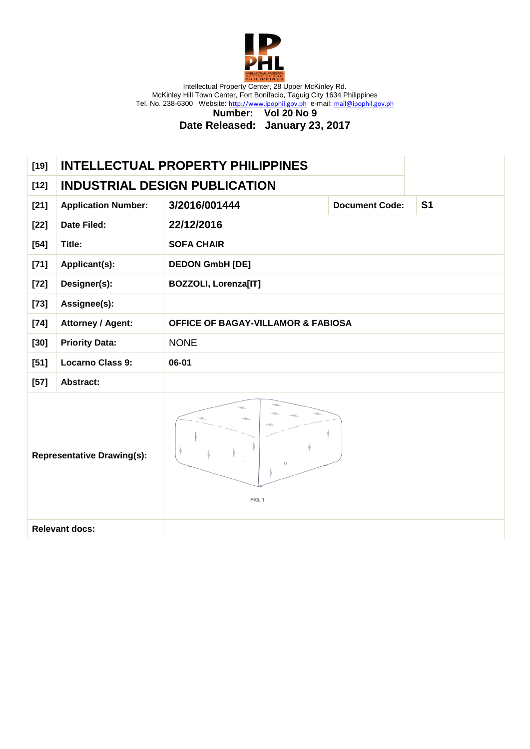

**Number: Vol 20 No 9**

| <b>INTELLECTUAL PROPERTY PHILIPPINES</b> |                                                            |                                      |                |  |
|------------------------------------------|------------------------------------------------------------|--------------------------------------|----------------|--|
|                                          |                                                            |                                      |                |  |
| <b>Application Number:</b>               | 3/2016/001444                                              | <b>Document Code:</b>                | S <sub>1</sub> |  |
| <b>Date Filed:</b>                       | 22/12/2016                                                 |                                      |                |  |
| Title:                                   | <b>SOFA CHAIR</b>                                          |                                      |                |  |
| Applicant(s):                            | <b>DEDON GmbH [DE]</b>                                     |                                      |                |  |
| Designer(s):                             | <b>BOZZOLI, Lorenza[IT]</b>                                |                                      |                |  |
| Assignee(s):                             |                                                            |                                      |                |  |
| <b>Attorney / Agent:</b>                 | <b>OFFICE OF BAGAY-VILLAMOR &amp; FABIOSA</b>              |                                      |                |  |
| <b>Priority Data:</b>                    | <b>NONE</b>                                                |                                      |                |  |
| <b>Locarno Class 9:</b>                  | 06-01                                                      |                                      |                |  |
| Abstract:                                |                                                            |                                      |                |  |
|                                          | <b>FIG. 1</b>                                              |                                      |                |  |
|                                          |                                                            |                                      |                |  |
|                                          | <b>Representative Drawing(s):</b><br><b>Relevant docs:</b> | <b>INDUSTRIAL DESIGN PUBLICATION</b> |                |  |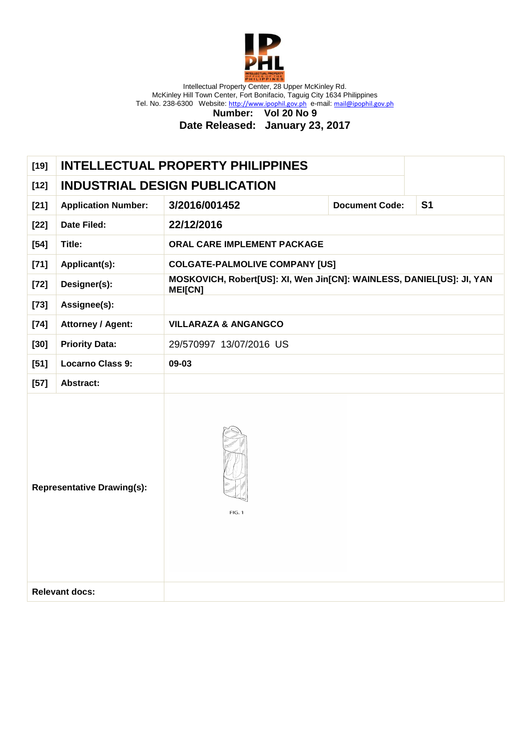

**Number: Vol 20 No 9**

| $[19]$ | <b>INTELLECTUAL PROPERTY PHILIPPINES</b> |                |                                                                       |                       |                |
|--------|------------------------------------------|----------------|-----------------------------------------------------------------------|-----------------------|----------------|
| $[12]$ | <b>INDUSTRIAL DESIGN PUBLICATION</b>     |                |                                                                       |                       |                |
| $[21]$ | <b>Application Number:</b>               | 3/2016/001452  |                                                                       | <b>Document Code:</b> | S <sub>1</sub> |
| $[22]$ | Date Filed:                              | 22/12/2016     |                                                                       |                       |                |
| $[54]$ | Title:                                   |                | ORAL CARE IMPLEMENT PACKAGE                                           |                       |                |
| $[71]$ | Applicant(s):                            |                | <b>COLGATE-PALMOLIVE COMPANY [US]</b>                                 |                       |                |
| $[72]$ | Designer(s):                             | <b>MEI[CN]</b> | MOSKOVICH, Robert[US]: XI, Wen Jin[CN]: WAINLESS, DANIEL[US]: JI, YAN |                       |                |
| $[73]$ | Assignee(s):                             |                |                                                                       |                       |                |
| $[74]$ | <b>Attorney / Agent:</b>                 |                | <b>VILLARAZA &amp; ANGANGCO</b>                                       |                       |                |
| $[30]$ | <b>Priority Data:</b>                    |                | 29/570997 13/07/2016 US                                               |                       |                |
| $[51]$ | <b>Locarno Class 9:</b>                  | 09-03          |                                                                       |                       |                |
| $[57]$ | Abstract:                                |                |                                                                       |                       |                |
|        | <b>Representative Drawing(s):</b>        |                | <b>FIG. 1</b>                                                         |                       |                |
|        | <b>Relevant docs:</b>                    |                |                                                                       |                       |                |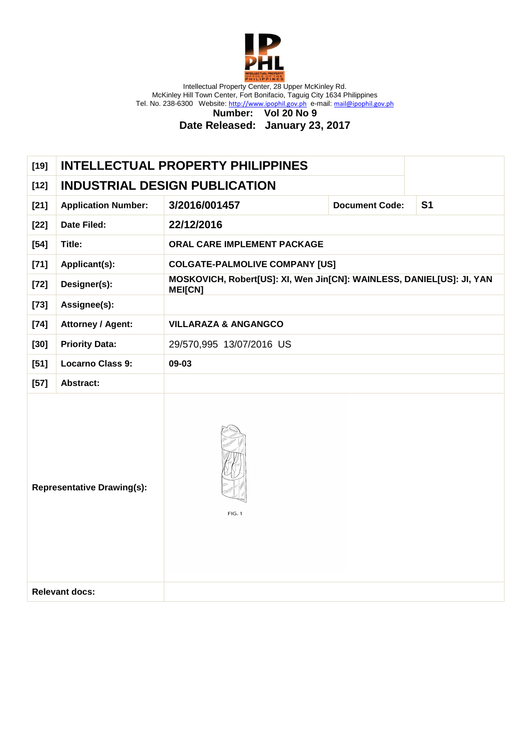

**Number: Vol 20 No 9**

| <b>INDUSTRIAL DESIGN PUBLICATION</b><br>$[12]$<br>3/2016/001457<br><b>Document Code:</b><br><b>S1</b><br>$[21]$<br><b>Application Number:</b><br>22/12/2016<br><b>Date Filed:</b><br>$[22]$<br>Title:<br>ORAL CARE IMPLEMENT PACKAGE<br>$[54]$<br><b>COLGATE-PALMOLIVE COMPANY [US]</b><br>$[71]$<br>Applicant(s):<br>MOSKOVICH, Robert[US]: XI, Wen Jin[CN]: WAINLESS, DANIEL[US]: JI, YAN<br>Designer(s):<br>$[72]$<br><b>MEI[CN]</b><br>Assignee(s):<br>$[73]$<br>$[74]$<br><b>Attorney / Agent:</b><br><b>VILLARAZA &amp; ANGANGCO</b><br><b>Priority Data:</b><br>29/570,995 13/07/2016 US<br>$[30]$<br><b>Locarno Class 9:</b><br>09-03<br>$[51]$<br>$[57]$<br>Abstract:<br><b>Representative Drawing(s):</b><br><b>FIG. 1</b><br><b>Relevant docs:</b> | $[19]$ | <b>INTELLECTUAL PROPERTY PHILIPPINES</b> |  |  |  |  |
|---------------------------------------------------------------------------------------------------------------------------------------------------------------------------------------------------------------------------------------------------------------------------------------------------------------------------------------------------------------------------------------------------------------------------------------------------------------------------------------------------------------------------------------------------------------------------------------------------------------------------------------------------------------------------------------------------------------------------------------------------------------|--------|------------------------------------------|--|--|--|--|
|                                                                                                                                                                                                                                                                                                                                                                                                                                                                                                                                                                                                                                                                                                                                                               |        |                                          |  |  |  |  |
|                                                                                                                                                                                                                                                                                                                                                                                                                                                                                                                                                                                                                                                                                                                                                               |        |                                          |  |  |  |  |
|                                                                                                                                                                                                                                                                                                                                                                                                                                                                                                                                                                                                                                                                                                                                                               |        |                                          |  |  |  |  |
|                                                                                                                                                                                                                                                                                                                                                                                                                                                                                                                                                                                                                                                                                                                                                               |        |                                          |  |  |  |  |
|                                                                                                                                                                                                                                                                                                                                                                                                                                                                                                                                                                                                                                                                                                                                                               |        |                                          |  |  |  |  |
|                                                                                                                                                                                                                                                                                                                                                                                                                                                                                                                                                                                                                                                                                                                                                               |        |                                          |  |  |  |  |
|                                                                                                                                                                                                                                                                                                                                                                                                                                                                                                                                                                                                                                                                                                                                                               |        |                                          |  |  |  |  |
|                                                                                                                                                                                                                                                                                                                                                                                                                                                                                                                                                                                                                                                                                                                                                               |        |                                          |  |  |  |  |
|                                                                                                                                                                                                                                                                                                                                                                                                                                                                                                                                                                                                                                                                                                                                                               |        |                                          |  |  |  |  |
|                                                                                                                                                                                                                                                                                                                                                                                                                                                                                                                                                                                                                                                                                                                                                               |        |                                          |  |  |  |  |
|                                                                                                                                                                                                                                                                                                                                                                                                                                                                                                                                                                                                                                                                                                                                                               |        |                                          |  |  |  |  |
|                                                                                                                                                                                                                                                                                                                                                                                                                                                                                                                                                                                                                                                                                                                                                               |        |                                          |  |  |  |  |
|                                                                                                                                                                                                                                                                                                                                                                                                                                                                                                                                                                                                                                                                                                                                                               |        |                                          |  |  |  |  |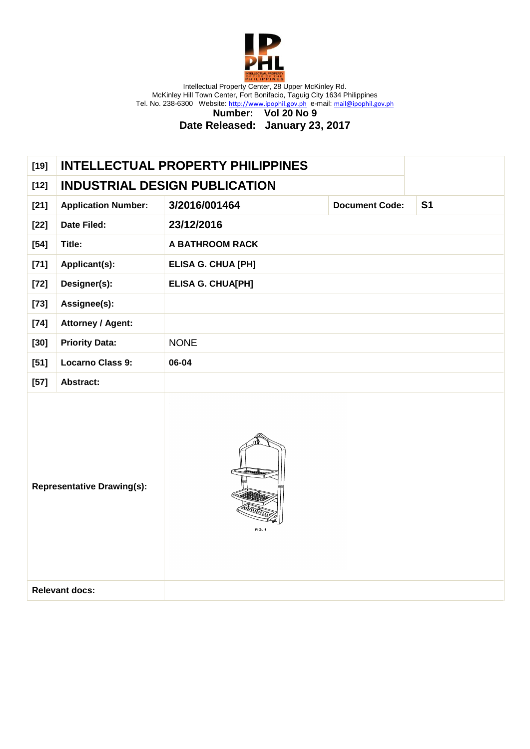

**Number: Vol 20 No 9**

| <b>INDUSTRIAL DESIGN PUBLICATION</b><br>$[12]$<br>3/2016/001464<br><b>Document Code:</b><br>S <sub>1</sub><br>$[21]$<br><b>Application Number:</b><br>23/12/2016<br>Date Filed:<br>$[22]$<br>Title:<br>A BATHROOM RACK<br>$[54]$<br>$[71]$<br>Applicant(s):<br><b>ELISA G. CHUA [PH]</b><br>Designer(s):<br><b>ELISA G. CHUA[PH]</b><br>$[72]$<br>Assignee(s):<br>$[73]$<br><b>Attorney / Agent:</b><br>$[74]$<br><b>Priority Data:</b><br>$[30]$<br><b>NONE</b><br><b>Locarno Class 9:</b><br>06-04<br>$[51]$<br>$[57]$<br>Abstract:<br><b>Representative Drawing(s):</b><br>FIG. 1<br><b>Relevant docs:</b> | $[19]$ | <b>INTELLECTUAL PROPERTY PHILIPPINES</b> |  |
|---------------------------------------------------------------------------------------------------------------------------------------------------------------------------------------------------------------------------------------------------------------------------------------------------------------------------------------------------------------------------------------------------------------------------------------------------------------------------------------------------------------------------------------------------------------------------------------------------------------|--------|------------------------------------------|--|
|                                                                                                                                                                                                                                                                                                                                                                                                                                                                                                                                                                                                               |        |                                          |  |
|                                                                                                                                                                                                                                                                                                                                                                                                                                                                                                                                                                                                               |        |                                          |  |
|                                                                                                                                                                                                                                                                                                                                                                                                                                                                                                                                                                                                               |        |                                          |  |
|                                                                                                                                                                                                                                                                                                                                                                                                                                                                                                                                                                                                               |        |                                          |  |
|                                                                                                                                                                                                                                                                                                                                                                                                                                                                                                                                                                                                               |        |                                          |  |
|                                                                                                                                                                                                                                                                                                                                                                                                                                                                                                                                                                                                               |        |                                          |  |
|                                                                                                                                                                                                                                                                                                                                                                                                                                                                                                                                                                                                               |        |                                          |  |
|                                                                                                                                                                                                                                                                                                                                                                                                                                                                                                                                                                                                               |        |                                          |  |
|                                                                                                                                                                                                                                                                                                                                                                                                                                                                                                                                                                                                               |        |                                          |  |
|                                                                                                                                                                                                                                                                                                                                                                                                                                                                                                                                                                                                               |        |                                          |  |
|                                                                                                                                                                                                                                                                                                                                                                                                                                                                                                                                                                                                               |        |                                          |  |
|                                                                                                                                                                                                                                                                                                                                                                                                                                                                                                                                                                                                               |        |                                          |  |
|                                                                                                                                                                                                                                                                                                                                                                                                                                                                                                                                                                                                               |        |                                          |  |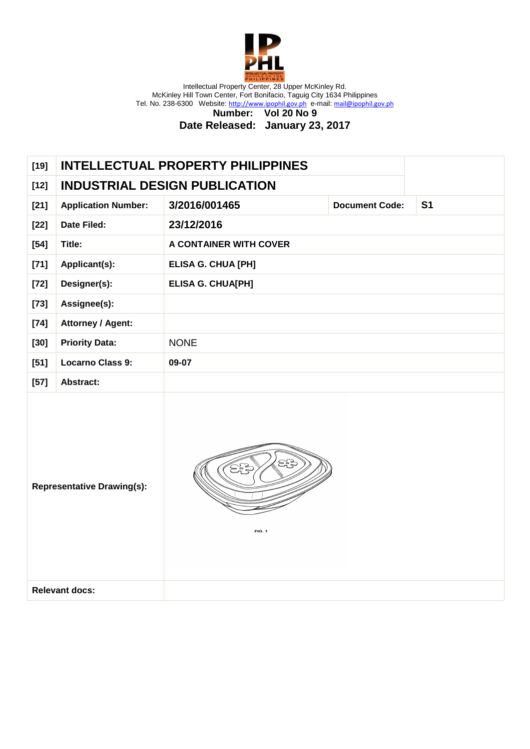

**Number: Vol 20 No 9**

| <b>INDUSTRIAL DESIGN PUBLICATION</b><br>$[12]$<br>3/2016/001465<br>S <sub>1</sub><br>$[21]$<br><b>Application Number:</b><br><b>Document Code:</b><br>23/12/2016<br>Date Filed:<br>$[22]$<br>Title:<br>A CONTAINER WITH COVER<br>$[54]$<br>$[71]$<br>Applicant(s):<br><b>ELISA G. CHUA [PH]</b><br>Designer(s):<br><b>ELISA G. CHUA[PH]</b><br>$[72]$<br>Assignee(s):<br>$[73]$<br><b>Attorney / Agent:</b><br>$[74]$<br><b>Priority Data:</b><br>$[30]$<br><b>NONE</b><br><b>Locarno Class 9:</b><br>$[51]$<br>09-07<br>$[57]$<br>Abstract:<br>ದ್ದೇ<br>్లిక<br><b>Representative Drawing(s):</b><br>FIG. 1<br><b>Relevant docs:</b> | $[19]$ |  | <b>INTELLECTUAL PROPERTY PHILIPPINES</b> |  |  |
|--------------------------------------------------------------------------------------------------------------------------------------------------------------------------------------------------------------------------------------------------------------------------------------------------------------------------------------------------------------------------------------------------------------------------------------------------------------------------------------------------------------------------------------------------------------------------------------------------------------------------------------|--------|--|------------------------------------------|--|--|
|                                                                                                                                                                                                                                                                                                                                                                                                                                                                                                                                                                                                                                      |        |  |                                          |  |  |
|                                                                                                                                                                                                                                                                                                                                                                                                                                                                                                                                                                                                                                      |        |  |                                          |  |  |
|                                                                                                                                                                                                                                                                                                                                                                                                                                                                                                                                                                                                                                      |        |  |                                          |  |  |
|                                                                                                                                                                                                                                                                                                                                                                                                                                                                                                                                                                                                                                      |        |  |                                          |  |  |
|                                                                                                                                                                                                                                                                                                                                                                                                                                                                                                                                                                                                                                      |        |  |                                          |  |  |
|                                                                                                                                                                                                                                                                                                                                                                                                                                                                                                                                                                                                                                      |        |  |                                          |  |  |
|                                                                                                                                                                                                                                                                                                                                                                                                                                                                                                                                                                                                                                      |        |  |                                          |  |  |
|                                                                                                                                                                                                                                                                                                                                                                                                                                                                                                                                                                                                                                      |        |  |                                          |  |  |
|                                                                                                                                                                                                                                                                                                                                                                                                                                                                                                                                                                                                                                      |        |  |                                          |  |  |
|                                                                                                                                                                                                                                                                                                                                                                                                                                                                                                                                                                                                                                      |        |  |                                          |  |  |
|                                                                                                                                                                                                                                                                                                                                                                                                                                                                                                                                                                                                                                      |        |  |                                          |  |  |
|                                                                                                                                                                                                                                                                                                                                                                                                                                                                                                                                                                                                                                      |        |  |                                          |  |  |
|                                                                                                                                                                                                                                                                                                                                                                                                                                                                                                                                                                                                                                      |        |  |                                          |  |  |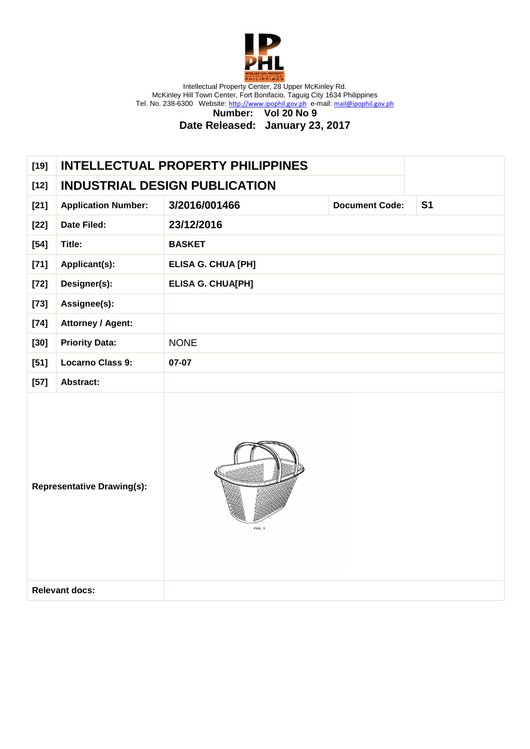

**Number: Vol 20 No 9**

| <b>INDUSTRIAL DESIGN PUBLICATION</b><br>$[12]$<br>3/2016/001466<br>S <sub>1</sub><br>$[21]$<br><b>Application Number:</b><br><b>Document Code:</b><br>23/12/2016<br>Date Filed:<br>$[22]$<br>$[54]$<br>Title:<br><b>BASKET</b><br>$[71]$<br>Applicant(s):<br><b>ELISA G. CHUA [PH]</b><br>Designer(s):<br><b>ELISA G. CHUA[PH]</b><br>$[72]$<br>Assignee(s):<br>$[73]$<br>$[74]$<br><b>Attorney / Agent:</b><br><b>Priority Data:</b><br>$[30]$<br><b>NONE</b><br><b>Locarno Class 9:</b><br>$[51]$<br>07-07<br>$[57]$<br>Abstract:<br><b>Representative Drawing(s):</b><br>FIG. 1<br><b>Relevant docs:</b> | $[19]$ |  | <b>INTELLECTUAL PROPERTY PHILIPPINES</b> |  |  |
|-------------------------------------------------------------------------------------------------------------------------------------------------------------------------------------------------------------------------------------------------------------------------------------------------------------------------------------------------------------------------------------------------------------------------------------------------------------------------------------------------------------------------------------------------------------------------------------------------------------|--------|--|------------------------------------------|--|--|
|                                                                                                                                                                                                                                                                                                                                                                                                                                                                                                                                                                                                             |        |  |                                          |  |  |
|                                                                                                                                                                                                                                                                                                                                                                                                                                                                                                                                                                                                             |        |  |                                          |  |  |
|                                                                                                                                                                                                                                                                                                                                                                                                                                                                                                                                                                                                             |        |  |                                          |  |  |
|                                                                                                                                                                                                                                                                                                                                                                                                                                                                                                                                                                                                             |        |  |                                          |  |  |
|                                                                                                                                                                                                                                                                                                                                                                                                                                                                                                                                                                                                             |        |  |                                          |  |  |
|                                                                                                                                                                                                                                                                                                                                                                                                                                                                                                                                                                                                             |        |  |                                          |  |  |
|                                                                                                                                                                                                                                                                                                                                                                                                                                                                                                                                                                                                             |        |  |                                          |  |  |
|                                                                                                                                                                                                                                                                                                                                                                                                                                                                                                                                                                                                             |        |  |                                          |  |  |
|                                                                                                                                                                                                                                                                                                                                                                                                                                                                                                                                                                                                             |        |  |                                          |  |  |
|                                                                                                                                                                                                                                                                                                                                                                                                                                                                                                                                                                                                             |        |  |                                          |  |  |
|                                                                                                                                                                                                                                                                                                                                                                                                                                                                                                                                                                                                             |        |  |                                          |  |  |
|                                                                                                                                                                                                                                                                                                                                                                                                                                                                                                                                                                                                             |        |  |                                          |  |  |
|                                                                                                                                                                                                                                                                                                                                                                                                                                                                                                                                                                                                             |        |  |                                          |  |  |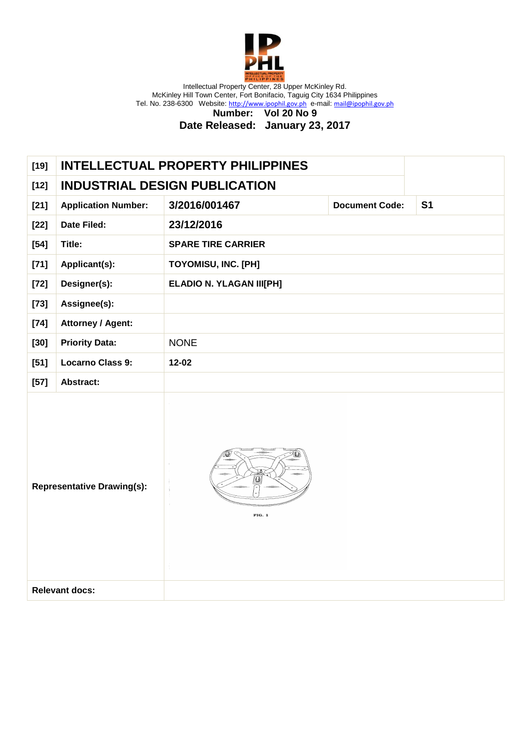

**Number: Vol 20 No 9**

| $[19]$ |                                      | <b>INTELLECTUAL PROPERTY PHILIPPINES</b> |                       |                |
|--------|--------------------------------------|------------------------------------------|-----------------------|----------------|
| $[12]$ | <b>INDUSTRIAL DESIGN PUBLICATION</b> |                                          |                       |                |
| $[21]$ | <b>Application Number:</b>           | 3/2016/001467                            | <b>Document Code:</b> | S <sub>1</sub> |
| $[22]$ | <b>Date Filed:</b>                   | 23/12/2016                               |                       |                |
| $[54]$ | Title:                               | <b>SPARE TIRE CARRIER</b>                |                       |                |
| $[71]$ | Applicant(s):                        | <b>TOYOMISU, INC. [PH]</b>               |                       |                |
| $[72]$ | Designer(s):                         | <b>ELADIO N. YLAGAN III[PH]</b>          |                       |                |
| $[73]$ | Assignee(s):                         |                                          |                       |                |
| $[74]$ | <b>Attorney / Agent:</b>             |                                          |                       |                |
| $[30]$ | <b>Priority Data:</b>                | <b>NONE</b>                              |                       |                |
| $[51]$ | <b>Locarno Class 9:</b>              | $12 - 02$                                |                       |                |
| $[57]$ | Abstract:                            |                                          |                       |                |
|        | <b>Representative Drawing(s):</b>    | Q<br>FIG. 1                              |                       |                |
|        | <b>Relevant docs:</b>                |                                          |                       |                |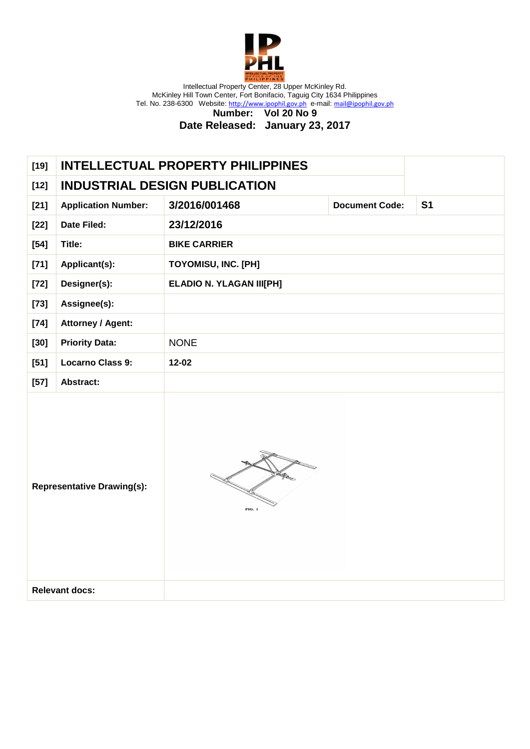

**Number: Vol 20 No 9**

| $[19]$                            |                                      | <b>INTELLECTUAL PROPERTY PHILIPPINES</b> |                       |                |
|-----------------------------------|--------------------------------------|------------------------------------------|-----------------------|----------------|
| $[12]$                            | <b>INDUSTRIAL DESIGN PUBLICATION</b> |                                          |                       |                |
| $[21]$                            | <b>Application Number:</b>           | 3/2016/001468                            | <b>Document Code:</b> | S <sub>1</sub> |
| $[22]$                            | Date Filed:                          | 23/12/2016                               |                       |                |
| $[54]$                            | Title:                               | <b>BIKE CARRIER</b>                      |                       |                |
| $[71]$                            | Applicant(s):                        | <b>TOYOMISU, INC. [PH]</b>               |                       |                |
| $[72]$                            | Designer(s):                         | <b>ELADIO N. YLAGAN III[PH]</b>          |                       |                |
| $[73]$                            | Assignee(s):                         |                                          |                       |                |
| $[74]$                            | <b>Attorney / Agent:</b>             |                                          |                       |                |
| $[30]$                            | <b>Priority Data:</b>                | <b>NONE</b>                              |                       |                |
| $[51]$                            | <b>Locarno Class 9:</b>              | $12 - 02$                                |                       |                |
| $[57]$                            | Abstract:                            |                                          |                       |                |
| <b>Representative Drawing(s):</b> |                                      | FIG. 1                                   |                       |                |
|                                   | <b>Relevant docs:</b>                |                                          |                       |                |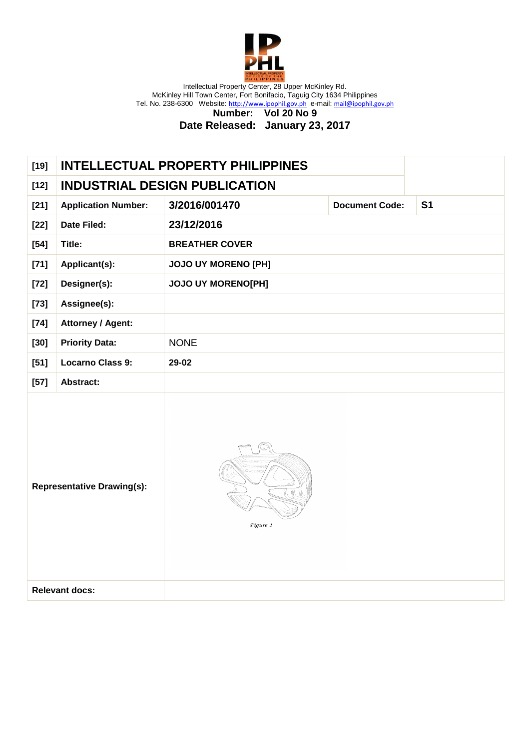

**Number: Vol 20 No 9**

| <b>INDUSTRIAL DESIGN PUBLICATION</b><br>$[12]$<br>3/2016/001470<br>S <sub>1</sub><br>$[21]$<br><b>Application Number:</b><br><b>Document Code:</b><br>23/12/2016<br>Date Filed:<br>$[22]$<br>Title:<br><b>BREATHER COVER</b><br>$[54]$<br>Applicant(s):<br><b>JOJO UY MORENO [PH]</b><br>$[71]$<br>Designer(s):<br><b>JOJO UY MORENO[PH]</b><br>$[72]$<br>Assignee(s):<br>$[73]$<br>$[74]$<br><b>Attorney / Agent:</b><br><b>Priority Data:</b><br>$[30]$<br><b>NONE</b><br><b>Locarno Class 9:</b><br>29-02<br>$[51]$<br>$[57]$<br>Abstract:<br><b>Representative Drawing(s):</b><br>Figure 1<br><b>Relevant docs:</b> | $[19]$ |  | <b>INTELLECTUAL PROPERTY PHILIPPINES</b> |  |  |
|-------------------------------------------------------------------------------------------------------------------------------------------------------------------------------------------------------------------------------------------------------------------------------------------------------------------------------------------------------------------------------------------------------------------------------------------------------------------------------------------------------------------------------------------------------------------------------------------------------------------------|--------|--|------------------------------------------|--|--|
|                                                                                                                                                                                                                                                                                                                                                                                                                                                                                                                                                                                                                         |        |  |                                          |  |  |
|                                                                                                                                                                                                                                                                                                                                                                                                                                                                                                                                                                                                                         |        |  |                                          |  |  |
|                                                                                                                                                                                                                                                                                                                                                                                                                                                                                                                                                                                                                         |        |  |                                          |  |  |
|                                                                                                                                                                                                                                                                                                                                                                                                                                                                                                                                                                                                                         |        |  |                                          |  |  |
|                                                                                                                                                                                                                                                                                                                                                                                                                                                                                                                                                                                                                         |        |  |                                          |  |  |
|                                                                                                                                                                                                                                                                                                                                                                                                                                                                                                                                                                                                                         |        |  |                                          |  |  |
|                                                                                                                                                                                                                                                                                                                                                                                                                                                                                                                                                                                                                         |        |  |                                          |  |  |
|                                                                                                                                                                                                                                                                                                                                                                                                                                                                                                                                                                                                                         |        |  |                                          |  |  |
|                                                                                                                                                                                                                                                                                                                                                                                                                                                                                                                                                                                                                         |        |  |                                          |  |  |
|                                                                                                                                                                                                                                                                                                                                                                                                                                                                                                                                                                                                                         |        |  |                                          |  |  |
|                                                                                                                                                                                                                                                                                                                                                                                                                                                                                                                                                                                                                         |        |  |                                          |  |  |
|                                                                                                                                                                                                                                                                                                                                                                                                                                                                                                                                                                                                                         |        |  |                                          |  |  |
|                                                                                                                                                                                                                                                                                                                                                                                                                                                                                                                                                                                                                         |        |  |                                          |  |  |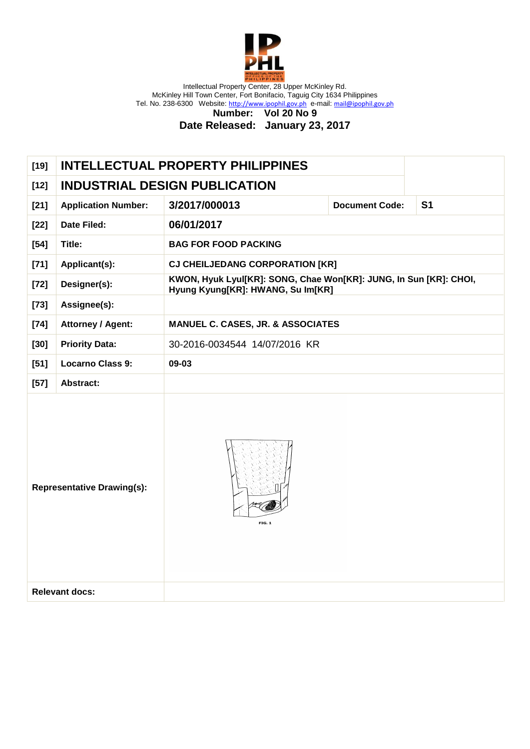

**Number: Vol 20 No 9**

| <b>INDUSTRIAL DESIGN PUBLICATION</b><br>$[12]$<br>3/2017/000013<br>S <sub>1</sub><br><b>Application Number:</b><br><b>Document Code:</b><br>$[21]$<br>06/01/2017<br><b>Date Filed:</b><br>$[22]$<br>Title:<br><b>BAG FOR FOOD PACKING</b><br>$[54]$<br>Applicant(s):<br><b>CJ CHEILJEDANG CORPORATION [KR]</b><br>$[71]$<br>KWON, Hyuk Lyul[KR]: SONG, Chae Won[KR]: JUNG, In Sun [KR]: CHOI,<br>Designer(s):<br>$[72]$<br>Hyung Kyung[KR]: HWANG, Su Im[KR]<br>Assignee(s):<br>$[73]$<br>$[74]$<br><b>Attorney / Agent:</b><br><b>MANUEL C. CASES, JR. &amp; ASSOCIATES</b><br><b>Priority Data:</b><br>30-2016-0034544 14/07/2016 KR<br>$[30]$<br><b>Locarno Class 9:</b><br>09-03<br>$[51]$<br>Abstract:<br>$[57]$<br><b>Representative Drawing(s):</b><br>FIG. 1<br><b>Relevant docs:</b> | $[19]$ |  | <b>INTELLECTUAL PROPERTY PHILIPPINES</b> |  |  |
|-----------------------------------------------------------------------------------------------------------------------------------------------------------------------------------------------------------------------------------------------------------------------------------------------------------------------------------------------------------------------------------------------------------------------------------------------------------------------------------------------------------------------------------------------------------------------------------------------------------------------------------------------------------------------------------------------------------------------------------------------------------------------------------------------|--------|--|------------------------------------------|--|--|
|                                                                                                                                                                                                                                                                                                                                                                                                                                                                                                                                                                                                                                                                                                                                                                                               |        |  |                                          |  |  |
|                                                                                                                                                                                                                                                                                                                                                                                                                                                                                                                                                                                                                                                                                                                                                                                               |        |  |                                          |  |  |
|                                                                                                                                                                                                                                                                                                                                                                                                                                                                                                                                                                                                                                                                                                                                                                                               |        |  |                                          |  |  |
|                                                                                                                                                                                                                                                                                                                                                                                                                                                                                                                                                                                                                                                                                                                                                                                               |        |  |                                          |  |  |
|                                                                                                                                                                                                                                                                                                                                                                                                                                                                                                                                                                                                                                                                                                                                                                                               |        |  |                                          |  |  |
|                                                                                                                                                                                                                                                                                                                                                                                                                                                                                                                                                                                                                                                                                                                                                                                               |        |  |                                          |  |  |
|                                                                                                                                                                                                                                                                                                                                                                                                                                                                                                                                                                                                                                                                                                                                                                                               |        |  |                                          |  |  |
|                                                                                                                                                                                                                                                                                                                                                                                                                                                                                                                                                                                                                                                                                                                                                                                               |        |  |                                          |  |  |
|                                                                                                                                                                                                                                                                                                                                                                                                                                                                                                                                                                                                                                                                                                                                                                                               |        |  |                                          |  |  |
|                                                                                                                                                                                                                                                                                                                                                                                                                                                                                                                                                                                                                                                                                                                                                                                               |        |  |                                          |  |  |
|                                                                                                                                                                                                                                                                                                                                                                                                                                                                                                                                                                                                                                                                                                                                                                                               |        |  |                                          |  |  |
|                                                                                                                                                                                                                                                                                                                                                                                                                                                                                                                                                                                                                                                                                                                                                                                               |        |  |                                          |  |  |
|                                                                                                                                                                                                                                                                                                                                                                                                                                                                                                                                                                                                                                                                                                                                                                                               |        |  |                                          |  |  |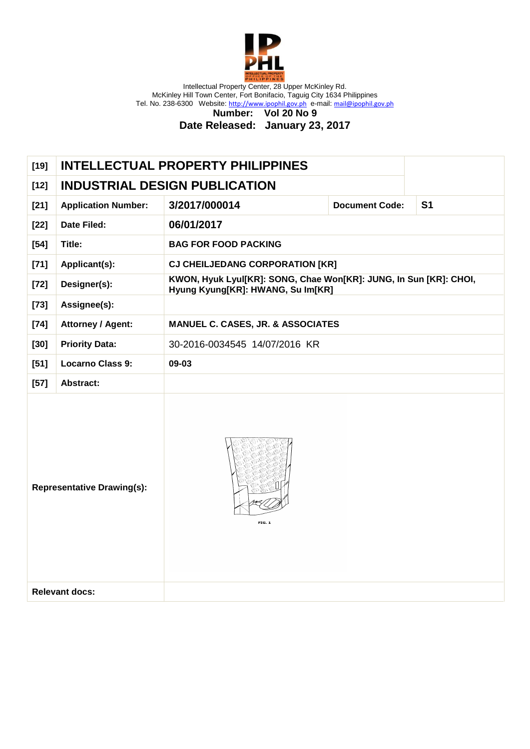

**Number: Vol 20 No 9**

| <b>INDUSTRIAL DESIGN PUBLICATION</b><br>$[12]$<br>3/2017/000014<br>S <sub>1</sub><br>$[21]$<br><b>Application Number:</b><br><b>Document Code:</b><br>06/01/2017<br><b>Date Filed:</b><br>$[22]$<br>Title:<br><b>BAG FOR FOOD PACKING</b><br>$[54]$<br>$[71]$<br>Applicant(s):<br><b>CJ CHEILJEDANG CORPORATION [KR]</b><br>KWON, Hyuk Lyul[KR]: SONG, Chae Won[KR]: JUNG, In Sun [KR]: CHOI,<br>Designer(s):<br>$[72]$<br>Hyung Kyung[KR]: HWANG, Su Im[KR]<br>Assignee(s):<br>$[73]$<br><b>Attorney / Agent:</b><br>$[74]$<br><b>MANUEL C. CASES, JR. &amp; ASSOCIATES</b><br><b>Priority Data:</b><br>30-2016-0034545 14/07/2016 KR<br>$[30]$<br><b>Locarno Class 9:</b><br>09-03<br>$[51]$<br>$[57]$<br>Abstract:<br><b>Representative Drawing(s):</b><br>FIG. 1<br><b>Relevant docs:</b> | $[19]$ |  | <b>INTELLECTUAL PROPERTY PHILIPPINES</b> |  |  |
|-----------------------------------------------------------------------------------------------------------------------------------------------------------------------------------------------------------------------------------------------------------------------------------------------------------------------------------------------------------------------------------------------------------------------------------------------------------------------------------------------------------------------------------------------------------------------------------------------------------------------------------------------------------------------------------------------------------------------------------------------------------------------------------------------|--------|--|------------------------------------------|--|--|
|                                                                                                                                                                                                                                                                                                                                                                                                                                                                                                                                                                                                                                                                                                                                                                                               |        |  |                                          |  |  |
|                                                                                                                                                                                                                                                                                                                                                                                                                                                                                                                                                                                                                                                                                                                                                                                               |        |  |                                          |  |  |
|                                                                                                                                                                                                                                                                                                                                                                                                                                                                                                                                                                                                                                                                                                                                                                                               |        |  |                                          |  |  |
|                                                                                                                                                                                                                                                                                                                                                                                                                                                                                                                                                                                                                                                                                                                                                                                               |        |  |                                          |  |  |
|                                                                                                                                                                                                                                                                                                                                                                                                                                                                                                                                                                                                                                                                                                                                                                                               |        |  |                                          |  |  |
|                                                                                                                                                                                                                                                                                                                                                                                                                                                                                                                                                                                                                                                                                                                                                                                               |        |  |                                          |  |  |
|                                                                                                                                                                                                                                                                                                                                                                                                                                                                                                                                                                                                                                                                                                                                                                                               |        |  |                                          |  |  |
|                                                                                                                                                                                                                                                                                                                                                                                                                                                                                                                                                                                                                                                                                                                                                                                               |        |  |                                          |  |  |
|                                                                                                                                                                                                                                                                                                                                                                                                                                                                                                                                                                                                                                                                                                                                                                                               |        |  |                                          |  |  |
|                                                                                                                                                                                                                                                                                                                                                                                                                                                                                                                                                                                                                                                                                                                                                                                               |        |  |                                          |  |  |
|                                                                                                                                                                                                                                                                                                                                                                                                                                                                                                                                                                                                                                                                                                                                                                                               |        |  |                                          |  |  |
|                                                                                                                                                                                                                                                                                                                                                                                                                                                                                                                                                                                                                                                                                                                                                                                               |        |  |                                          |  |  |
|                                                                                                                                                                                                                                                                                                                                                                                                                                                                                                                                                                                                                                                                                                                                                                                               |        |  |                                          |  |  |